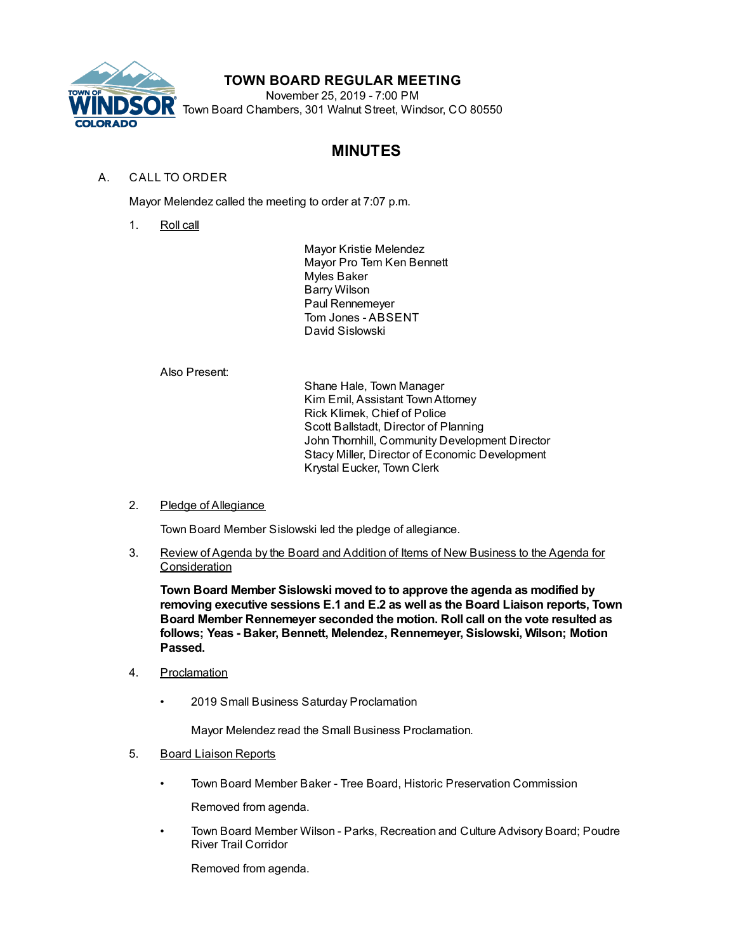

## **TOWN BOARD REGULAR MEETING**

November 25, 2019 - 7:00 PM Town Board Chambers, 301 Walnut Street, Windsor, CO 80550

# **MINUTES**

## A. CALL TO ORDER

Mayor Melendez called the meeting to order at 7:07 p.m.

1. Roll call

Mayor Kristie Melendez Mayor Pro Tem Ken Bennett Myles Baker Barry Wilson Paul Rennemeyer Tom Jones - ABSENT David Sislowski

Also Present:

Shane Hale, Town Manager Kim Emil, Assistant TownAttorney Rick Klimek, Chief of Police Scott Ballstadt, Director of Planning John Thornhill, Community Development Director Stacy Miller, Director of Economic Development Krystal Eucker, Town Clerk

## 2. Pledge of Allegiance

Town Board Member Sislowski led the pledge of allegiance.

3. Review of Agenda by the Board and Addition of Items of New Business to the Agenda for **Consideration** 

**Town Board Member Sislowski moved to to approve the agenda as modified by removing executive sessions E.1 and E.2 as well as the Board Liaison reports, Town Board Member Rennemeyer seconded the motion. Roll call on the vote resulted as follows; Yeas - Baker, Bennett, Melendez, Rennemeyer, Sislowski, Wilson; Motion Passed.**

- 4. Proclamation
	- 2019 Small Business Saturday Proclamation

Mayor Melendez read the Small Business Proclamation.

#### 5. Board Liaison Reports

• Town Board Member Baker - Tree Board, Historic Preservation Commission

Removed from agenda.

• Town Board Member Wilson - Parks, Recreation and Culture Advisory Board; Poudre River Trail Corridor

Removed from agenda.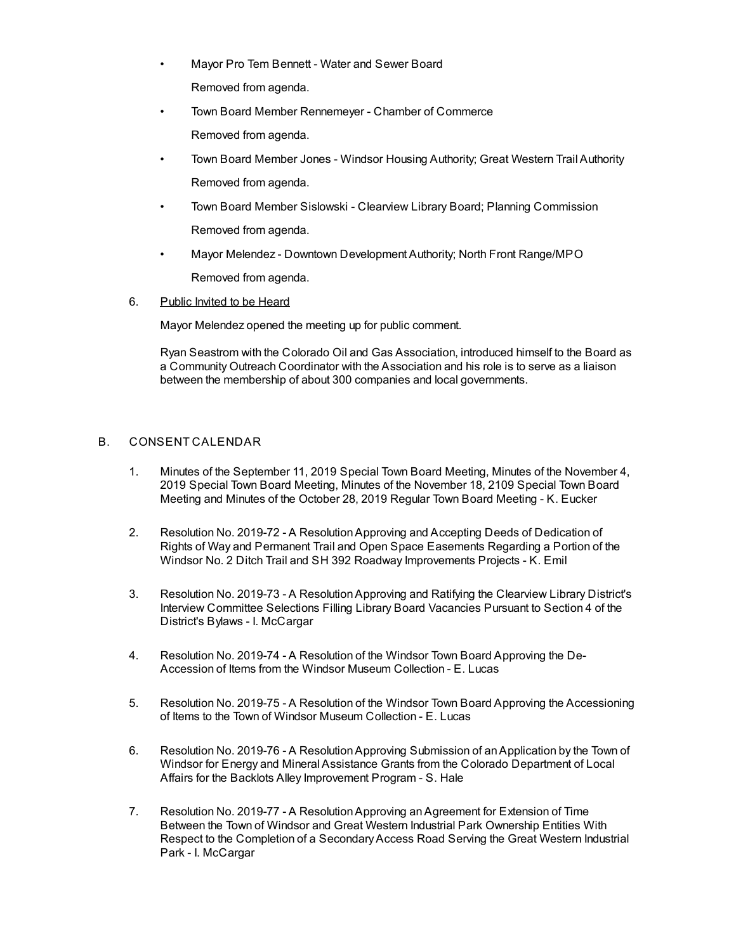- Mayor Pro Tem Bennett Water and Sewer Board Removed from agenda.
- Town Board Member Rennemeyer Chamber of Commerce Removed from agenda.
- Town Board Member Jones Windsor Housing Authority; Great Western Trail Authority Removed from agenda.
- Town Board Member Sislowski Clearview Library Board; Planning Commission Removed from agenda.
- Mayor Melendez Downtown Development Authority; North Front Range/MPO Removed from agenda.
- 6. Public Invited to be Heard

Mayor Melendez opened the meeting up for public comment.

Ryan Seastrom with the Colorado Oil and Gas Association, introduced himself to the Board as a Community Outreach Coordinator with the Association and his role is to serve as a liaison between the membership of about 300 companies and local governments.

## B. CONSENT CALENDAR

- 1. Minutes of the September 11, 2019 Special Town Board Meeting, Minutes of the November 4, 2019 Special Town Board Meeting, Minutes of the November 18, 2109 Special Town Board Meeting and Minutes of the October 28, 2019 Regular Town Board Meeting - K. Eucker
- 2. Resolution No. 2019-72 A ResolutionApproving and Accepting Deeds of Dedication of Rights of Way and Permanent Trail and Open Space Easements Regarding a Portion of the Windsor No. 2 Ditch Trail and SH 392 Roadway Improvements Projects - K. Emil
- 3. Resolution No. 2019-73 A ResolutionApproving and Ratifying the Clearview Library District's Interview Committee Selections Filling Library Board Vacancies Pursuant to Section 4 of the District's Bylaws - I. McCargar
- 4. Resolution No. 2019-74 A Resolution of the Windsor Town Board Approving the De-Accession of Items from the Windsor Museum Collection - E. Lucas
- 5. Resolution No. 2019-75 A Resolution of the Windsor Town Board Approving the Accessioning of Items to the Town of Windsor Museum Collection - E. Lucas
- 6. Resolution No. 2019-76 A ResolutionApproving Submission of anApplication by the Town of Windsor for Energy and Mineral Assistance Grants from the Colorado Department of Local Affairs for the Backlots Alley Improvement Program - S. Hale
- 7. Resolution No. 2019-77 A ResolutionApproving anAgreement for Extension of Time Between the Town of Windsor and Great Western Industrial Park Ownership Entities With Respect to the Completion of a Secondary Access Road Serving the Great Western Industrial Park - I. McCargar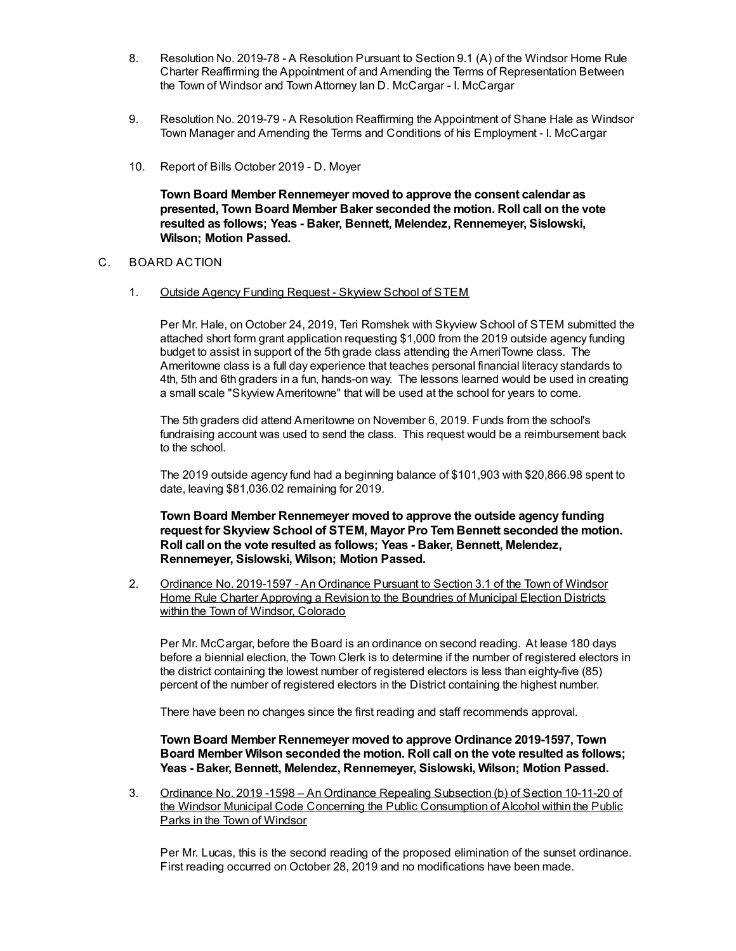- 8. Resolution No. 2019-78 A Resolution Pursuant to Section 9.1 (A) of the Windsor Home Rule Charter Reaffirming the Appointment of and Amending the Terms of Representation Between the Town of Windsor and TownAttorney Ian D. McCargar - I. McCargar
- 9. Resolution No. 2019-79 A Resolution Reaffirming the Appointment of Shane Hale as Windsor Town Manager and Amending the Terms and Conditions of his Employment - I. McCargar
- 10. Report of Bills October 2019 D. Moyer

**Town Board Member Rennemeyer moved to approve the consent calendar as presented, Town Board Member Baker seconded the motion. Roll call on the vote resulted as follows; Yeas - Baker, Bennett, Melendez, Rennemeyer, Sislowski, Wilson; Motion Passed.**

#### C. BOARD ACTION

1. Outside Agency Funding Request - Skyview School of STEM

Per Mr. Hale, on October 24, 2019, Teri Romshek with Skyview School of STEM submitted the attached short form grant application requesting \$1,000 from the 2019 outside agency funding budget to assist in support of the 5th grade class attending the AmeriTowne class. The Ameritowne class is a full day experience that teaches personal financial literacy standards to 4th, 5th and 6th graders in a fun, hands-on way. The lessons learned would be used in creating a small scale "SkyviewAmeritowne" that will be used at the school for years to come.

The 5th graders did attend Ameritowne on November 6, 2019. Funds from the school's fundraising account was used to send the class. This request would be a reimbursement back to the school.

The 2019 outside agency fund had a beginning balance of \$101,903 with \$20,866.98 spent to date, leaving \$81,036.02 remaining for 2019.

**Town Board Member Rennemeyer moved to approve the outside agency funding request for Skyview School of STEM, Mayor Pro Tem Bennett seconded the motion. Roll call on the vote resulted as follows; Yeas - Baker, Bennett, Melendez, Rennemeyer, Sislowski, Wilson; Motion Passed.**

2. Ordinance No. 2019-1597 - An Ordinance Pursuant to Section 3.1 of the Town of Windsor Home Rule Charter Approving a Revision to the Boundries of Municipal Election Districts within the Town of Windsor, Colorado

Per Mr. McCargar, before the Board is an ordinance on second reading. At lease 180 days before a biennial election, the Town Clerk is to determine if the number of registered electors in the district containing the lowest number of registered electors is less than eighty-five (85) percent of the number of registered electors in the District containing the highest number.

There have been no changes since the first reading and staff recommends approval.

**Town Board Member Rennemeyer moved to approve Ordinance 2019-1597, Town Board Member Wilson seconded the motion. Roll call on the vote resulted as follows; Yeas - Baker, Bennett, Melendez, Rennemeyer, Sislowski, Wilson; Motion Passed.**

3. Ordinance No. 2019 -1598 – An Ordinance Repealing Subsection (b) of Section 10-11-20 of the Windsor Municipal Code Concerning the Public Consumption of Alcohol within the Public Parks in the Town of Windsor

Per Mr. Lucas, this is the second reading of the proposed elimination of the sunset ordinance. First reading occurred on October 28, 2019 and no modifications have been made.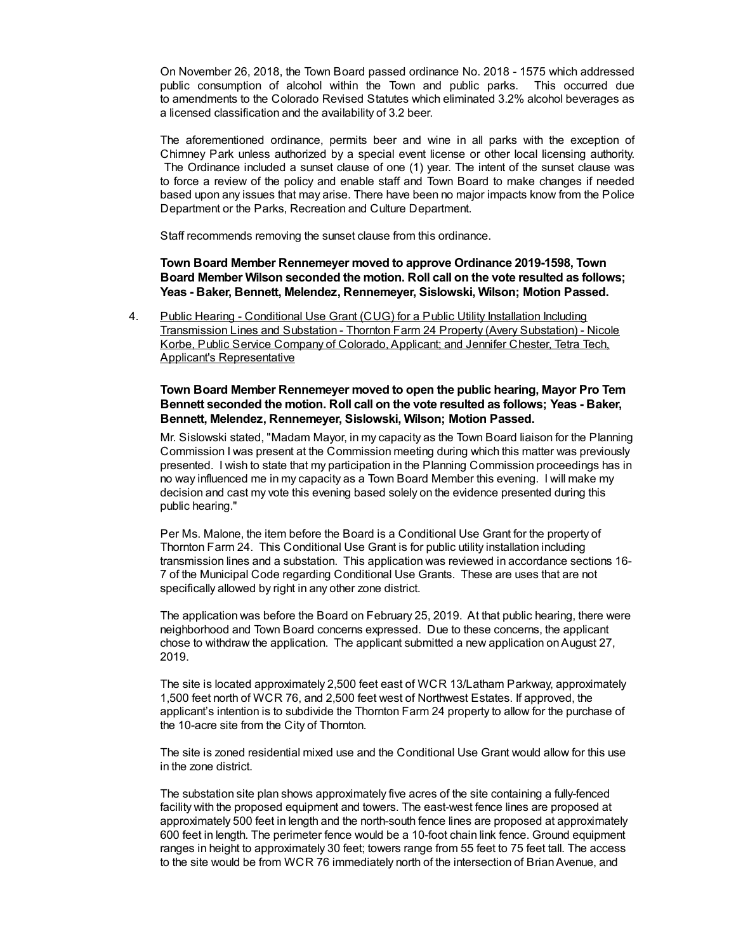On November 26, 2018, the Town Board passed ordinance No. 2018 - 1575 which addressed public consumption of alcohol within the Town and public parks. This occurred due to amendments to the Colorado Revised Statutes which eliminated 3.2% alcohol beverages as a licensed classification and the availability of 3.2 beer.

The aforementioned ordinance, permits beer and wine in all parks with the exception of Chimney Park unless authorized by a special event license or other local licensing authority. The Ordinance included a sunset clause of one (1) year. The intent of the sunset clause was to force a review of the policy and enable staff and Town Board to make changes if needed based upon any issues that may arise. There have been no major impacts know from the Police Department or the Parks, Recreation and Culture Department.

Staff recommends removing the sunset clause from this ordinance.

**Town Board Member Rennemeyer moved to approve Ordinance 2019-1598, Town Board Member Wilson seconded the motion. Roll call on the vote resulted as follows; Yeas - Baker, Bennett, Melendez, Rennemeyer, Sislowski, Wilson; Motion Passed.**

4. Public Hearing - Conditional Use Grant (CUG) for a Public Utility Installation Including Transmission Lines and Substation - Thornton Farm 24 Property (Avery Substation) - Nicole Korbe, Public Service Company of Colorado, Applicant; and Jennifer Chester, Tetra Tech, Applicant's Representative

#### **Town Board Member Rennemeyer moved to open the public hearing, Mayor Pro Tem Bennett seconded the motion. Roll call on the vote resulted as follows; Yeas - Baker, Bennett, Melendez, Rennemeyer, Sislowski, Wilson; Motion Passed.**

Mr. Sislowski stated, "Madam Mayor, in my capacity as the Town Board liaison for the Planning Commission I was present at the Commission meeting during which this matter was previously presented. I wish to state that my participation in the Planning Commission proceedings has in no way influenced me in my capacity as a Town Board Member this evening. I will make my decision and cast my vote this evening based solely on the evidence presented during this public hearing."

Per Ms. Malone, the item before the Board is a Conditional Use Grant for the property of Thornton Farm 24. This Conditional Use Grant is for public utility installation including transmission lines and a substation. This application was reviewed in accordance sections 16- 7 of the Municipal Code regarding Conditional Use Grants. These are uses that are not specifically allowed by right in any other zone district.

The application was before the Board on February 25, 2019. At that public hearing, there were neighborhood and Town Board concerns expressed. Due to these concerns, the applicant chose to withdraw the application. The applicant submitted a new application onAugust 27, 2019.

The site is located approximately 2,500 feet east of WCR 13/Latham Parkway, approximately 1,500 feet north of WCR 76, and 2,500 feet west of Northwest Estates. If approved, the applicant's intention is to subdivide the Thornton Farm 24 property to allow for the purchase of the 10-acre site from the City of Thornton.

The site is zoned residential mixed use and the Conditional Use Grant would allow for this use in the zone district.

The substation site plan shows approximately five acres of the site containing a fully-fenced facility with the proposed equipment and towers. The east-west fence lines are proposed at approximately 500 feet in length and the north-south fence lines are proposed at approximately 600 feet in length. The perimeter fence would be a 10-foot chain link fence. Ground equipment ranges in height to approximately 30 feet; towers range from 55 feet to 75 feet tall. The access to the site would be from WCR 76 immediately north of the intersection of BrianAvenue, and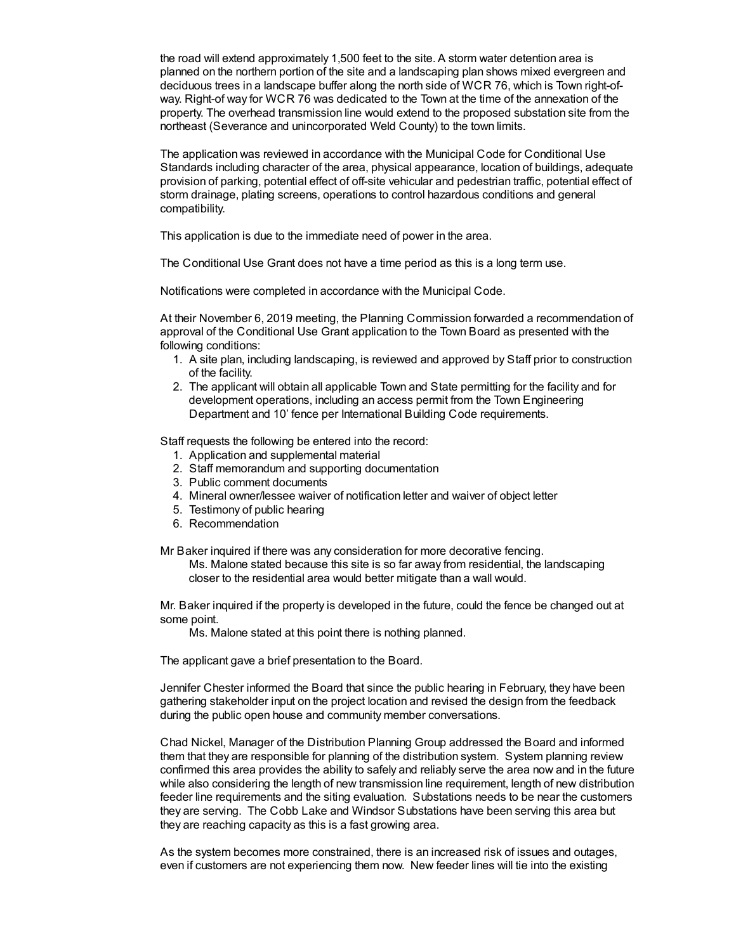the road will extend approximately 1,500 feet to the site. A storm water detention area is planned on the northern portion of the site and a landscaping plan shows mixed evergreen and deciduous trees in a landscape buffer along the north side of WCR 76, which is Town right-ofway. Right-of way for WCR 76 was dedicated to the Town at the time of the annexation of the property. The overhead transmission line would extend to the proposed substation site from the northeast (Severance and unincorporated Weld County) to the town limits.

The application was reviewed in accordance with the Municipal Code for Conditional Use Standards including character of the area, physical appearance, location of buildings, adequate provision of parking, potential effect of off-site vehicular and pedestrian traffic, potential effect of storm drainage, plating screens, operations to control hazardous conditions and general compatibility.

This application is due to the immediate need of power in the area.

The Conditional Use Grant does not have a time period as this is a long term use.

Notifications were completed in accordance with the Municipal Code.

At their November 6, 2019 meeting, the Planning Commission forwarded a recommendation of approval of the Conditional Use Grant application to the Town Board as presented with the following conditions:

- 1. A site plan, including landscaping, is reviewed and approved by Staff prior to construction of the facility.
- 2. The applicant will obtain all applicable Town and State permitting for the facility and for development operations, including an access permit from the Town Engineering Department and 10' fence per International Building Code requirements.

Staff requests the following be entered into the record:

- 1. Application and supplemental material
- 2. Staff memorandum and supporting documentation
- 3. Public comment documents
- 4. Mineral owner/lessee waiver of notification letter and waiver of object letter
- 5. Testimony of public hearing
- 6. Recommendation

Mr Baker inquired if there was any consideration for more decorative fencing.

Ms. Malone stated because this site is so far away from residential, the landscaping closer to the residential area would better mitigate than a wall would.

Mr. Baker inquired if the property is developed in the future, could the fence be changed out at some point.

Ms. Malone stated at this point there is nothing planned.

The applicant gave a brief presentation to the Board.

Jennifer Chester informed the Board that since the public hearing in February, they have been gathering stakeholder input on the project location and revised the design from the feedback during the public open house and community member conversations.

Chad Nickel, Manager of the Distribution Planning Group addressed the Board and informed them that they are responsible for planning of the distribution system. System planning review confirmed this area provides the ability to safely and reliably serve the area now and in the future while also considering the length of new transmission line requirement, length of new distribution feeder line requirements and the siting evaluation. Substations needs to be near the customers they are serving. The Cobb Lake and Windsor Substations have been serving this area but they are reaching capacity as this is a fast growing area.

As the system becomes more constrained, there is an increased risk of issues and outages, even if customers are not experiencing them now. New feeder lines will tie into the existing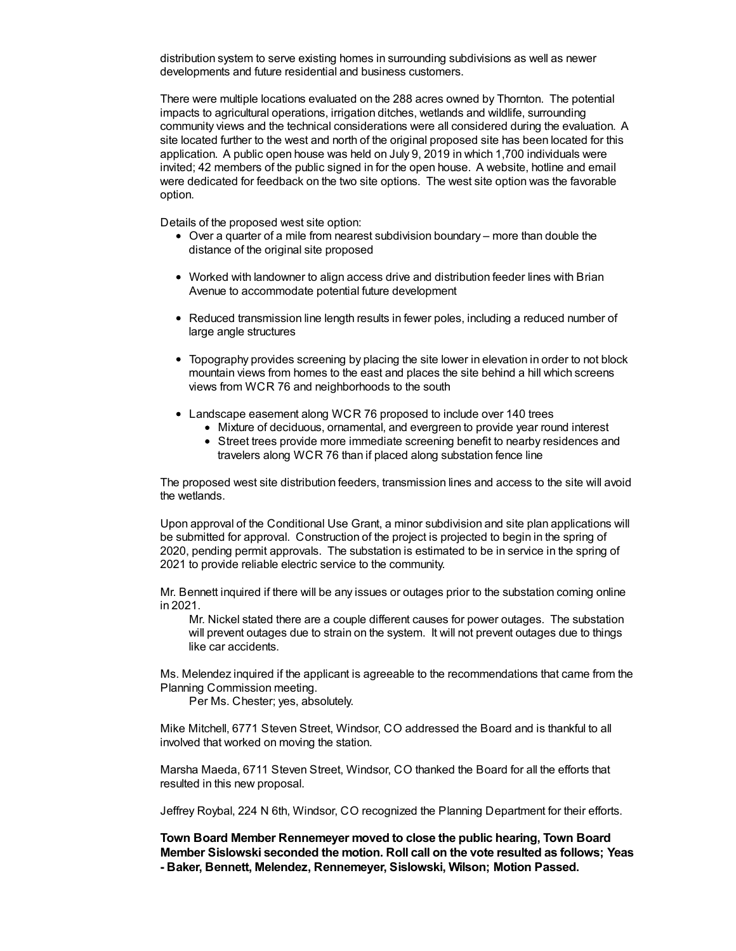distribution system to serve existing homes in surrounding subdivisions as well as newer developments and future residential and business customers.

There were multiple locations evaluated on the 288 acres owned by Thornton. The potential impacts to agricultural operations, irrigation ditches, wetlands and wildlife, surrounding community views and the technical considerations were all considered during the evaluation. A site located further to the west and north of the original proposed site has been located for this application. A public open house was held on July 9, 2019 in which 1,700 individuals were invited; 42 members of the public signed in for the open house. A website, hotline and email were dedicated for feedback on the two site options. The west site option was the favorable option.

Details of the proposed west site option:

- Over a quarter of a mile from nearest subdivision boundary more than double the distance of the original site proposed
- Worked with landowner to align access drive and distribution feeder lines with Brian Avenue to accommodate potential future development
- Reduced transmission line length results in fewer poles, including a reduced number of large angle structures
- Topography provides screening by placing the site lower in elevation in order to not block mountain views from homes to the east and places the site behind a hill which screens views from WCR 76 and neighborhoods to the south
- Landscape easement along WCR 76 proposed to include over 140 trees
	- Mixture of deciduous, ornamental, and evergreen to provide year round interest
	- Street trees provide more immediate screening benefit to nearby residences and travelers along WCR 76 than if placed along substation fence line

The proposed west site distribution feeders, transmission lines and access to the site will avoid the wetlands.

Upon approval of the Conditional Use Grant, a minor subdivision and site plan applications will be submitted for approval. Construction of the project is projected to begin in the spring of 2020, pending permit approvals. The substation is estimated to be in service in the spring of 2021 to provide reliable electric service to the community.

Mr. Bennett inquired if there will be any issues or outages prior to the substation coming online in 2021.

Mr. Nickel stated there are a couple different causes for power outages. The substation will prevent outages due to strain on the system. It will not prevent outages due to things like car accidents.

Ms. Melendez inquired if the applicant is agreeable to the recommendations that came from the Planning Commission meeting.

Per Ms. Chester; yes, absolutely.

Mike Mitchell, 6771 Steven Street, Windsor, CO addressed the Board and is thankful to all involved that worked on moving the station.

Marsha Maeda, 6711 Steven Street, Windsor, CO thanked the Board for all the efforts that resulted in this new proposal.

Jeffrey Roybal, 224 N 6th, Windsor, CO recognized the Planning Department for their efforts.

**Town Board Member Rennemeyer moved to close the public hearing, Town Board Member Sislowski seconded the motion. Roll call on the vote resulted as follows; Yeas - Baker, Bennett, Melendez, Rennemeyer, Sislowski, Wilson; Motion Passed.**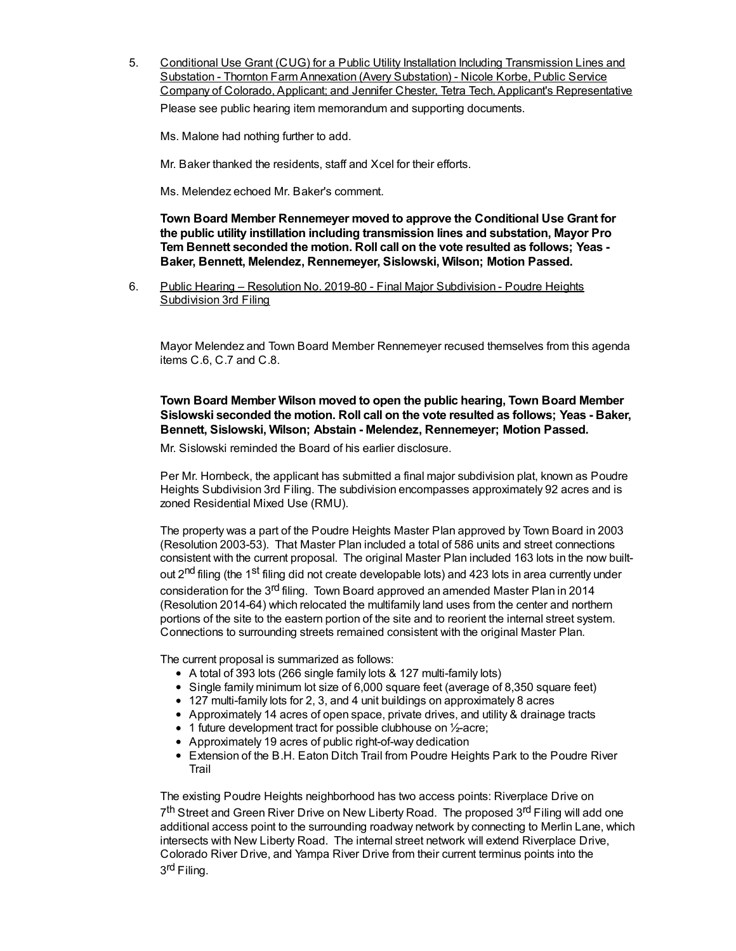5. Conditional Use Grant (CUG) for a Public Utility Installation Including Transmission Lines and Substation - Thornton Farm Annexation (Avery Substation) - Nicole Korbe, Public Service Company of Colorado, Applicant; and Jennifer Chester, Tetra Tech, Applicant's Representative

Please see public hearing item memorandum and supporting documents.

Ms. Malone had nothing further to add.

Mr. Baker thanked the residents, staff and Xcel for their efforts.

Ms. Melendez echoed Mr. Baker's comment.

**Town Board Member Rennemeyer moved to approve the Conditional Use Grant for the public utility instillation including transmission lines and substation, Mayor Pro Tem Bennett seconded the motion. Roll call on the vote resulted as follows; Yeas - Baker, Bennett, Melendez, Rennemeyer, Sislowski, Wilson; Motion Passed.**

6. Public Hearing – Resolution No. 2019-80 - Final Major Subdivision - Poudre Heights Subdivision 3rd Filing

Mayor Melendez and Town Board Member Rennemeyer recused themselves from this agenda items C.6, C.7 and C.8.

#### **Town Board Member Wilson moved to open the public hearing, Town Board Member Sislowski seconded the motion. Roll call on the vote resulted as follows; Yeas - Baker, Bennett, Sislowski, Wilson; Abstain - Melendez, Rennemeyer; Motion Passed.**

Mr. Sislowski reminded the Board of his earlier disclosure.

Per Mr. Hornbeck, the applicant has submitted a final major subdivision plat, known as Poudre Heights Subdivision 3rd Filing. The subdivision encompasses approximately 92 acres and is zoned Residential Mixed Use (RMU).

The property was a part of the Poudre Heights Master Plan approved by Town Board in 2003 (Resolution 2003-53). That Master Plan included a total of 586 units and street connections consistent with the current proposal. The original Master Plan included 163 lots in the now builtout 2<sup>nd</sup> filing (the 1<sup>st</sup> filing did not create developable lots) and 423 lots in area currently under consideration for the 3<sup>rd</sup> filing. Town Board approved an amended Master Plan in 2014 (Resolution 2014-64) which relocated the multifamily land uses from the center and northern portions of the site to the eastern portion of the site and to reorient the internal street system. Connections to surrounding streets remained consistent with the original Master Plan.

The current proposal is summarized as follows:

- A total of 393 lots (266 single family lots & 127 multi-family lots)
- Single family minimum lot size of 6,000 square feet (average of 8,350 square feet)
- 127 multi-family lots for 2, 3, and 4 unit buildings on approximately 8 acres
- Approximately 14 acres of open space, private drives, and utility & drainage tracts
- 1 future development tract for possible clubhouse on 1/2-acre;
- Approximately 19 acres of public right-of-way dedication
- Extension of the B.H. Eaton Ditch Trail from Poudre Heights Park to the Poudre River Trail

The existing Poudre Heights neighborhood has two access points: Riverplace Drive on 7<sup>th</sup> Street and Green River Drive on New Liberty Road. The proposed 3<sup>rd</sup> Filing will add one additional access point to the surrounding roadway network by connecting to Merlin Lane, which intersects with New Liberty Road. The internal street network will extend Riverplace Drive, Colorado River Drive, and Yampa River Drive from their current terminus points into the 3<sup>rd</sup> Filing.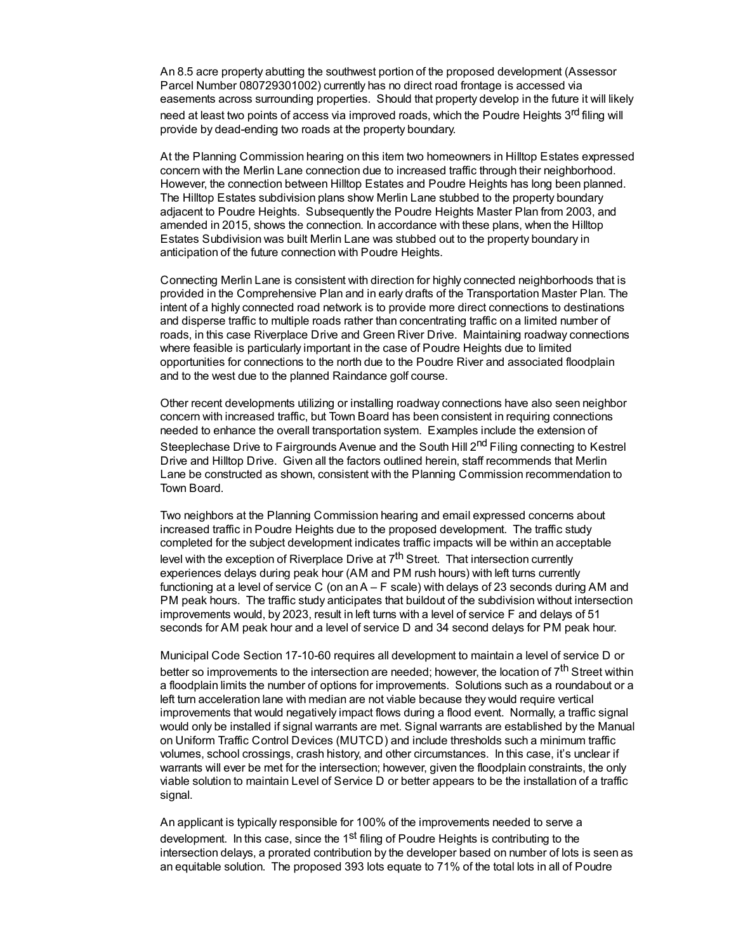An 8.5 acre property abutting the southwest portion of the proposed development (Assessor Parcel Number 080729301002) currently has no direct road frontage is accessed via easements across surrounding properties. Should that property develop in the future it will likely need at least two points of access via improved roads, which the Poudre Heights 3<sup>rd</sup> filing will provide by dead-ending two roads at the property boundary.

At the Planning Commission hearing on this item two homeowners in Hilltop Estates expressed concern with the Merlin Lane connection due to increased traffic through their neighborhood. However, the connection between Hilltop Estates and Poudre Heights has long been planned. The Hilltop Estates subdivision plans show Merlin Lane stubbed to the property boundary adjacent to Poudre Heights. Subsequently the Poudre Heights Master Plan from 2003, and amended in 2015, shows the connection. In accordance with these plans, when the Hilltop Estates Subdivision was built Merlin Lane was stubbed out to the property boundary in anticipation of the future connection with Poudre Heights.

Connecting Merlin Lane is consistent with direction for highly connected neighborhoods that is provided in the Comprehensive Plan and in early drafts of the Transportation Master Plan. The intent of a highly connected road network is to provide more direct connections to destinations and disperse traffic to multiple roads rather than concentrating traffic on a limited number of roads, in this case Riverplace Drive and Green River Drive. Maintaining roadway connections where feasible is particularly important in the case of Poudre Heights due to limited opportunities for connections to the north due to the Poudre River and associated floodplain and to the west due to the planned Raindance golf course.

Other recent developments utilizing or installing roadway connections have also seen neighbor concern with increased traffic, but Town Board has been consistent in requiring connections needed to enhance the overall transportation system. Examples include the extension of Steeplechase Drive to Fairgrounds Avenue and the South Hill 2<sup>nd</sup> Filing connecting to Kestrel Drive and Hilltop Drive. Given all the factors outlined herein, staff recommends that Merlin Lane be constructed as shown, consistent with the Planning Commission recommendation to Town Board.

Two neighbors at the Planning Commission hearing and email expressed concerns about increased traffic in Poudre Heights due to the proposed development. The traffic study completed for the subject development indicates traffic impacts will be within an acceptable level with the exception of Riverplace Drive at 7<sup>th</sup> Street. That intersection currently experiences delays during peak hour (AM and PM rush hours) with left turns currently functioning at a level of service C (on anA – F scale) with delays of 23 seconds during AM and PM peak hours. The traffic study anticipates that buildout of the subdivision without intersection improvements would, by 2023, result in left turns with a level of service F and delays of 51 seconds for AM peak hour and a level of service D and 34 second delays for PM peak hour.

Municipal Code Section 17-10-60 requires all development to maintain a level of service D or better so improvements to the intersection are needed; however, the location of 7<sup>th</sup> Street within a floodplain limits the number of options for improvements. Solutions such as a roundabout or a left turn acceleration lane with median are not viable because they would require vertical improvements that would negatively impact flows during a flood event. Normally, a traffic signal would only be installed if signal warrants are met. Signal warrants are established by the Manual on Uniform Traffic Control Devices (MUTCD) and include thresholds such a minimum traffic volumes, school crossings, crash history, and other circumstances. In this case, it's unclear if warrants will ever be met for the intersection; however, given the floodplain constraints, the only viable solution to maintain Level of Service D or better appears to be the installation of a traffic signal.

An applicant is typically responsible for 100% of the improvements needed to serve a development. In this case, since the 1<sup>st</sup> filing of Poudre Heights is contributing to the intersection delays, a prorated contribution by the developer based on number of lots is seen as an equitable solution. The proposed 393 lots equate to 71% of the total lots in all of Poudre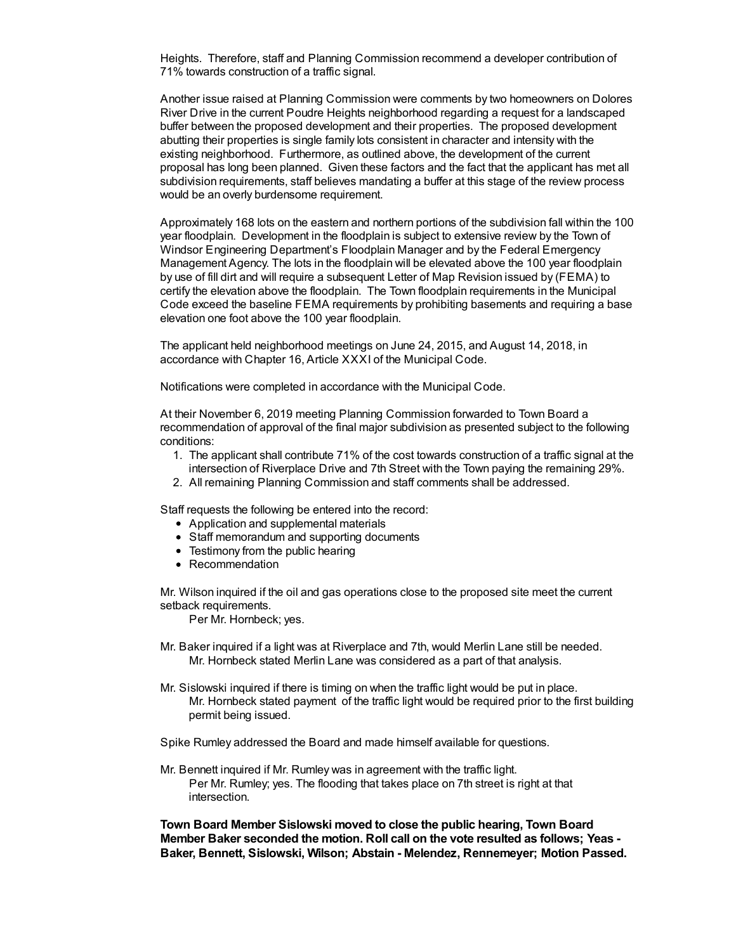Heights. Therefore, staff and Planning Commission recommend a developer contribution of 71% towards construction of a traffic signal.

Another issue raised at Planning Commission were comments by two homeowners on Dolores River Drive in the current Poudre Heights neighborhood regarding a request for a landscaped buffer between the proposed development and their properties. The proposed development abutting their properties is single family lots consistent in character and intensity with the existing neighborhood. Furthermore, as outlined above, the development of the current proposal has long been planned. Given these factors and the fact that the applicant has met all subdivision requirements, staff believes mandating a buffer at this stage of the review process would be an overly burdensome requirement.

Approximately 168 lots on the eastern and northern portions of the subdivision fall within the 100 year floodplain. Development in the floodplain is subject to extensive review by the Town of Windsor Engineering Department's Floodplain Manager and by the Federal Emergency Management Agency. The lots in the floodplain will be elevated above the 100 year floodplain by use of fill dirt and will require a subsequent Letter of Map Revision issued by (FEMA) to certify the elevation above the floodplain. The Town floodplain requirements in the Municipal Code exceed the baseline FEMA requirements by prohibiting basements and requiring a base elevation one foot above the 100 year floodplain.

The applicant held neighborhood meetings on June 24, 2015, and August 14, 2018, in accordance with Chapter 16, Article XXXI of the Municipal Code.

Notifications were completed in accordance with the Municipal Code.

At their November 6, 2019 meeting Planning Commission forwarded to Town Board a recommendation of approval of the final major subdivision as presented subject to the following conditions:

- 1. The applicant shall contribute 71% of the cost towards construction of a traffic signal at the intersection of Riverplace Drive and 7th Street with the Town paying the remaining 29%.
- 2. All remaining Planning Commission and staff comments shall be addressed.

Staff requests the following be entered into the record:

- Application and supplemental materials
- Staff memorandum and supporting documents
- Testimony from the public hearing
- Recommendation

Mr. Wilson inquired if the oil and gas operations close to the proposed site meet the current setback requirements.

Per Mr. Hornbeck; yes.

- Mr. Baker inquired if a light was at Riverplace and 7th, would Merlin Lane still be needed. Mr. Hornbeck stated Merlin Lane was considered as a part of that analysis.
- Mr. Sislowski inquired if there is timing on when the traffic light would be put in place. Mr. Hornbeck stated payment of the traffic light would be required prior to the first building permit being issued.

Spike Rumley addressed the Board and made himself available for questions.

Mr. Bennett inquired if Mr. Rumley was in agreement with the traffic light. Per Mr. Rumley; yes. The flooding that takes place on 7th street is right at that intersection.

**Town Board Member Sislowski moved to close the public hearing, Town Board Member Baker seconded the motion. Roll call on the vote resulted as follows; Yeas - Baker, Bennett, Sislowski, Wilson; Abstain - Melendez, Rennemeyer; Motion Passed.**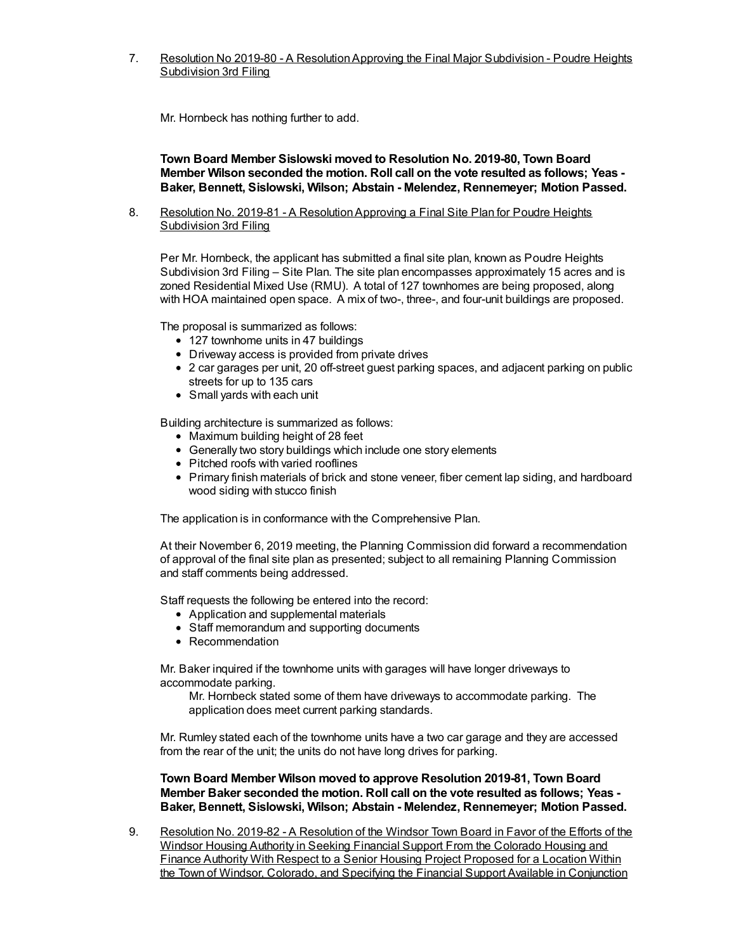7. Resolution No 2019-80 - A Resolution Approving the Final Major Subdivision - Poudre Heights Subdivision 3rd Filing

Mr. Hornbeck has nothing further to add.

**Town Board Member Sislowski moved to Resolution No. 2019-80, Town Board Member Wilson seconded the motion. Roll call on the vote resulted as follows; Yeas - Baker, Bennett, Sislowski, Wilson; Abstain - Melendez, Rennemeyer; Motion Passed.**

8. Resolution No. 2019-81 - A ResolutionApproving a Final Site Plan for Poudre Heights Subdivision 3rd Filing

Per Mr. Hornbeck, the applicant has submitted a final site plan, known as Poudre Heights Subdivision 3rd Filing – Site Plan. The site plan encompasses approximately 15 acres and is zoned Residential Mixed Use (RMU). A total of 127 townhomes are being proposed, along with HOA maintained open space. A mix of two-, three-, and four-unit buildings are proposed.

The proposal is summarized as follows:

- 127 townhome units in 47 buildings
- Driveway access is provided from private drives
- 2 car garages per unit, 20 off-street guest parking spaces, and adjacent parking on public streets for up to 135 cars
- Small yards with each unit

Building architecture is summarized as follows:

- Maximum building height of 28 feet
- Generally two story buildings which include one story elements
- Pitched roofs with varied rooflines
- Primary finish materials of brick and stone veneer, fiber cement lap siding, and hardboard wood siding with stucco finish

The application is in conformance with the Comprehensive Plan.

At their November 6, 2019 meeting, the Planning Commission did forward a recommendation of approval of the final site plan as presented; subject to all remaining Planning Commission and staff comments being addressed.

Staff requests the following be entered into the record:

- Application and supplemental materials
- Staff memorandum and supporting documents
- Recommendation

Mr. Baker inquired if the townhome units with garages will have longer driveways to accommodate parking.

Mr. Hornbeck stated some of them have driveways to accommodate parking. The application does meet current parking standards.

Mr. Rumley stated each of the townhome units have a two car garage and they are accessed from the rear of the unit; the units do not have long drives for parking.

**Town Board Member Wilson moved to approve Resolution 2019-81, Town Board Member Baker seconded the motion. Roll call on the vote resulted as follows; Yeas - Baker, Bennett, Sislowski, Wilson; Abstain - Melendez, Rennemeyer; Motion Passed.**

9. Resolution No. 2019-82 - A Resolution of the Windsor Town Board in Favor of the Efforts of the Windsor Housing Authority in Seeking Financial Support From the Colorado Housing and Finance Authority With Respect to a Senior Housing Project Proposed for a Location Within the Town of Windsor, Colorado, and Specifying the Financial Support Available in Conjunction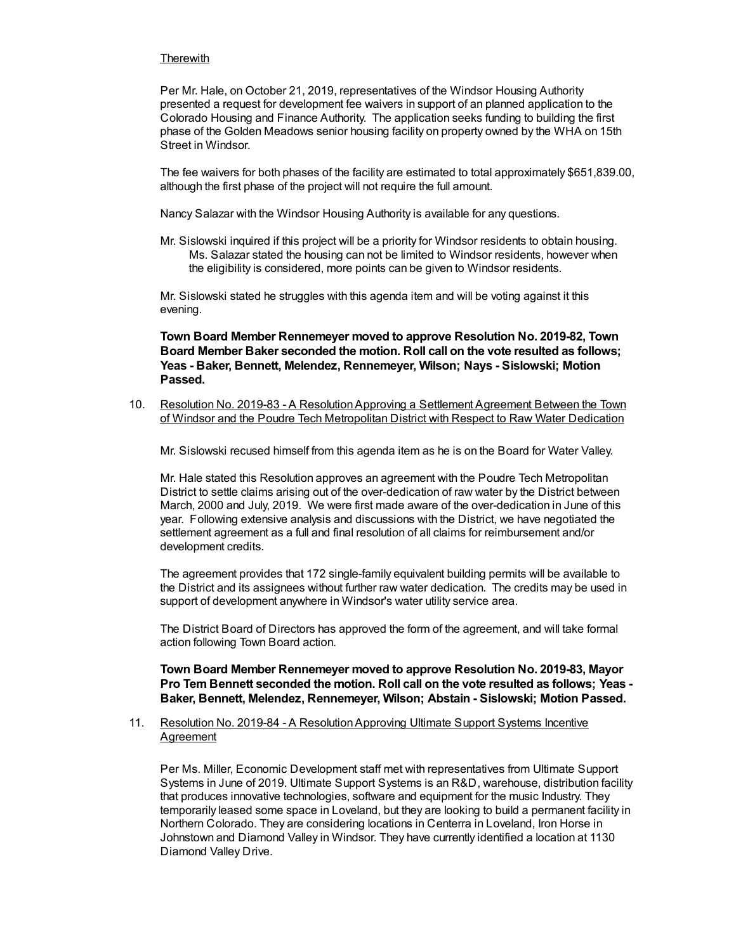#### **Therewith**

Per Mr. Hale, on October 21, 2019, representatives of the Windsor Housing Authority presented a request for development fee waivers in support of an planned application to the Colorado Housing and Finance Authority. The application seeks funding to building the first phase of the Golden Meadows senior housing facility on property owned by the WHA on 15th Street in Windsor.

The fee waivers for both phases of the facility are estimated to total approximately \$651,839.00, although the first phase of the project will not require the full amount.

Nancy Salazar with the Windsor Housing Authority is available for any questions.

Mr. Sislowski inquired if this project will be a priority for Windsor residents to obtain housing. Ms. Salazar stated the housing can not be limited to Windsor residents, however when the eligibility is considered, more points can be given to Windsor residents.

Mr. Sislowski stated he struggles with this agenda item and will be voting against it this evening.

**Town Board Member Rennemeyer moved to approve Resolution No. 2019-82, Town Board Member Baker seconded the motion. Roll call on the vote resulted as follows; Yeas - Baker, Bennett, Melendez, Rennemeyer, Wilson; Nays - Sislowski; Motion Passed.**

10. Resolution No. 2019-83 - A ResolutionApproving a Settlement Agreement Between the Town of Windsor and the Poudre Tech Metropolitan District with Respect to Raw Water Dedication

Mr. Sislowski recused himself from this agenda item as he is on the Board for Water Valley.

Mr. Hale stated this Resolution approves an agreement with the Poudre Tech Metropolitan District to settle claims arising out of the over-dedication of raw water by the District between March, 2000 and July, 2019. We were first made aware of the over-dedication in June of this year. Following extensive analysis and discussions with the District, we have negotiated the settlement agreement as a full and final resolution of all claims for reimbursement and/or development credits.

The agreement provides that 172 single-family equivalent building permits will be available to the District and its assignees without further raw water dedication. The credits may be used in support of development anywhere in Windsor's water utility service area.

The District Board of Directors has approved the form of the agreement, and will take formal action following Town Board action.

**Town Board Member Rennemeyer moved to approve Resolution No. 2019-83, Mayor Pro Tem Bennett seconded the motion. Roll call on the vote resulted as follows; Yeas - Baker, Bennett, Melendez, Rennemeyer, Wilson; Abstain - Sislowski; Motion Passed.**

#### 11. Resolution No. 2019-84 - A ResolutionApproving Ultimate Support Systems Incentive **Agreement**

Per Ms. Miller, Economic Development staff met with representatives from Ultimate Support Systems in June of 2019. Ultimate Support Systems is an R&D, warehouse, distribution facility that produces innovative technologies, software and equipment for the music Industry. They temporarily leased some space in Loveland, but they are looking to build a permanent facility in Northern Colorado. They are considering locations in Centerra in Loveland, Iron Horse in Johnstown and Diamond Valley in Windsor. They have currently identified a location at 1130 Diamond Valley Drive.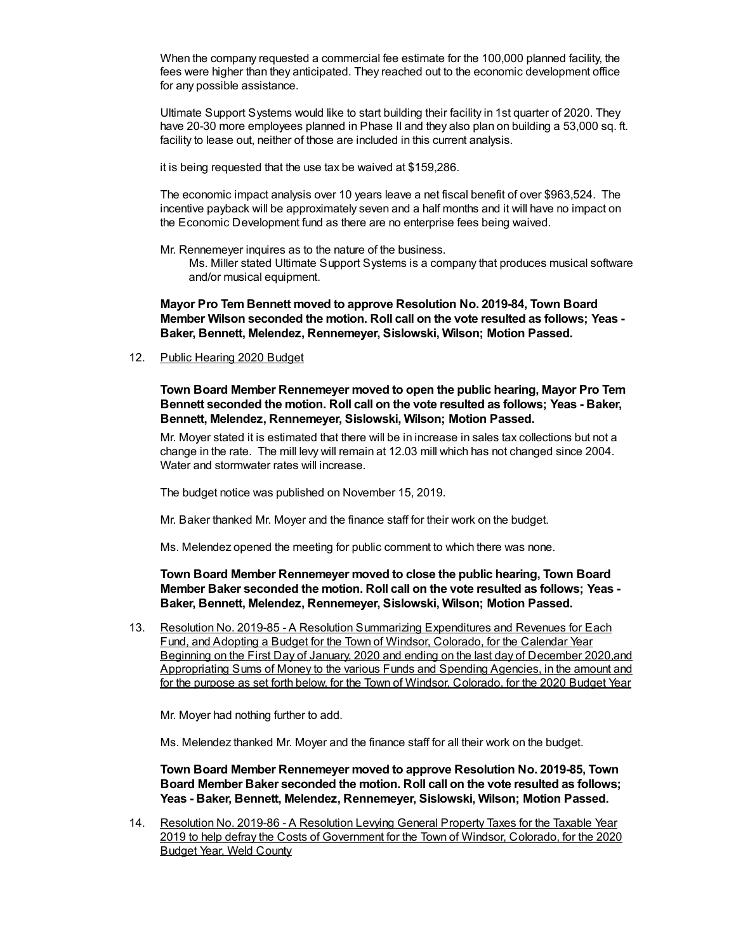When the company requested a commercial fee estimate for the 100,000 planned facility, the fees were higher than they anticipated. They reached out to the economic development office for any possible assistance.

Ultimate Support Systems would like to start building their facility in 1st quarter of 2020. They have 20-30 more employees planned in Phase II and they also plan on building a 53,000 sq. ft. facility to lease out, neither of those are included in this current analysis.

it is being requested that the use tax be waived at \$159,286.

The economic impact analysis over 10 years leave a net fiscal benefit of over \$963,524. The incentive payback will be approximately seven and a half months and it will have no impact on the Economic Development fund as there are no enterprise fees being waived.

Mr. Rennemeyer inquires as to the nature of the business.

Ms. Miller stated Ultimate Support Systems is a company that produces musical software and/or musical equipment.

**Mayor Pro Tem Bennett moved to approve Resolution No. 2019-84, Town Board Member Wilson seconded the motion. Roll call on the vote resulted as follows; Yeas - Baker, Bennett, Melendez, Rennemeyer, Sislowski, Wilson; Motion Passed.**

12. Public Hearing 2020 Budget

**Town Board Member Rennemeyer moved to open the public hearing, Mayor Pro Tem Bennett seconded the motion. Roll call on the vote resulted as follows; Yeas - Baker, Bennett, Melendez, Rennemeyer, Sislowski, Wilson; Motion Passed.**

Mr. Moyer stated it is estimated that there will be in increase in sales tax collections but not a change in the rate. The mill levy will remain at 12.03 mill which has not changed since 2004. Water and stormwater rates will increase.

The budget notice was published on November 15, 2019.

Mr. Baker thanked Mr. Moyer and the finance staff for their work on the budget.

Ms. Melendez opened the meeting for public comment to which there was none.

**Town Board Member Rennemeyer moved to close the public hearing, Town Board Member Baker seconded the motion. Roll call on the vote resulted as follows; Yeas - Baker, Bennett, Melendez, Rennemeyer, Sislowski, Wilson; Motion Passed.**

13. Resolution No. 2019-85 - A Resolution Summarizing Expenditures and Revenues for Each Fund, and Adopting a Budget for the Town of Windsor, Colorado, for the Calendar Year Beginning on the First Day of January, 2020 and ending on the last day of December 2020,and Appropriating Sums of Money to the various Funds and Spending Agencies, in the amount and for the purpose as set forth below, for the Town of Windsor, Colorado, for the 2020 Budget Year

Mr. Moyer had nothing further to add.

Ms. Melendez thanked Mr. Moyer and the finance staff for all their work on the budget.

**Town Board Member Rennemeyer moved to approve Resolution No. 2019-85, Town Board Member Baker seconded the motion. Roll call on the vote resulted as follows; Yeas - Baker, Bennett, Melendez, Rennemeyer, Sislowski, Wilson; Motion Passed.**

14. Resolution No. 2019-86 - A Resolution Levying General Property Taxes for the Taxable Year 2019 to help defray the Costs of Government for the Town of Windsor, Colorado, for the 2020 Budget Year, Weld County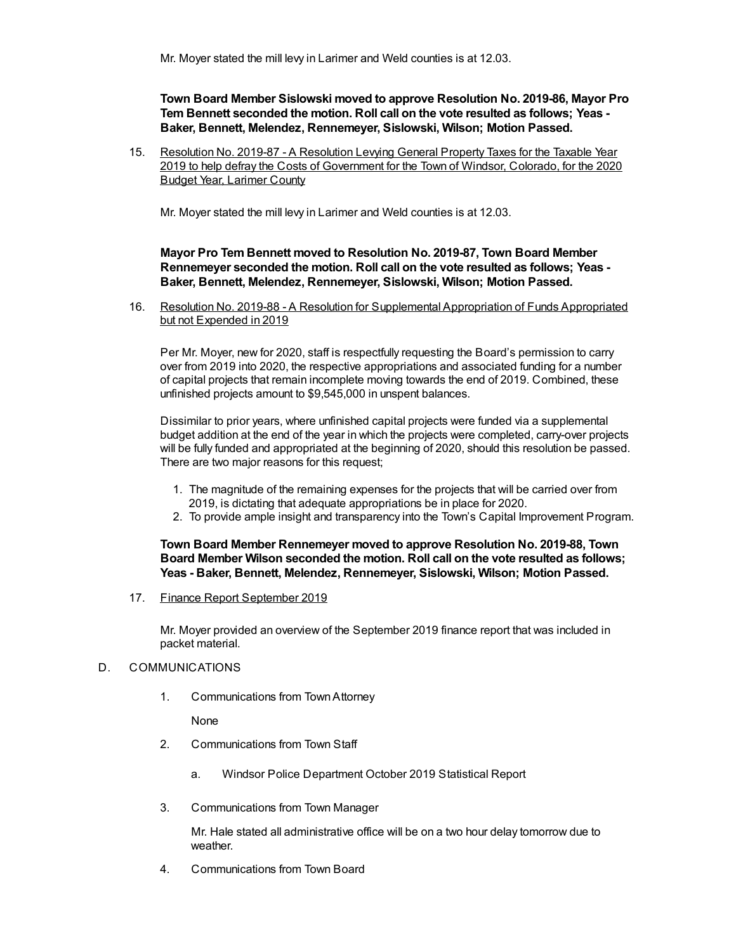**Town Board Member Sislowski moved to approve Resolution No. 2019-86, Mayor Pro Tem Bennett seconded the motion. Roll call on the vote resulted as follows; Yeas - Baker, Bennett, Melendez, Rennemeyer, Sislowski, Wilson; Motion Passed.**

15. Resolution No. 2019-87 - A Resolution Levying General Property Taxes for the Taxable Year 2019 to help defray the Costs of Government for the Town of Windsor, Colorado, for the 2020 Budget Year, Larimer County

Mr. Moyer stated the mill levy in Larimer and Weld counties is at 12.03.

#### **Mayor Pro Tem Bennett moved to Resolution No. 2019-87, Town Board Member Rennemeyer seconded the motion. Roll call on the vote resulted as follows; Yeas - Baker, Bennett, Melendez, Rennemeyer, Sislowski, Wilson; Motion Passed.**

16. Resolution No. 2019-88 - A Resolution for Supplemental Appropriation of Funds Appropriated but not Expended in 2019

Per Mr. Moyer, new for 2020, staff is respectfully requesting the Board's permission to carry over from 2019 into 2020, the respective appropriations and associated funding for a number of capital projects that remain incomplete moving towards the end of 2019. Combined, these unfinished projects amount to \$9,545,000 in unspent balances.

Dissimilar to prior years, where unfinished capital projects were funded via a supplemental budget addition at the end of the year in which the projects were completed, carry-over projects will be fully funded and appropriated at the beginning of 2020, should this resolution be passed. There are two major reasons for this request;

- 1. The magnitude of the remaining expenses for the projects that will be carried over from 2019, is dictating that adequate appropriations be in place for 2020.
- 2. To provide ample insight and transparency into the Town's Capital Improvement Program.

**Town Board Member Rennemeyer moved to approve Resolution No. 2019-88, Town Board Member Wilson seconded the motion. Roll call on the vote resulted as follows; Yeas - Baker, Bennett, Melendez, Rennemeyer, Sislowski, Wilson; Motion Passed.**

17. Finance Report September 2019

Mr. Moyer provided an overview of the September 2019 finance report that was included in packet material.

#### D. COMMUNICATIONS

1. Communications from TownAttorney

None

- 2. Communications from Town Staff
	- a. Windsor Police Department October 2019 Statistical Report
- 3. Communications from Town Manager

Mr. Hale stated all administrative office will be on a two hour delay tomorrow due to weather.

4. Communications from Town Board